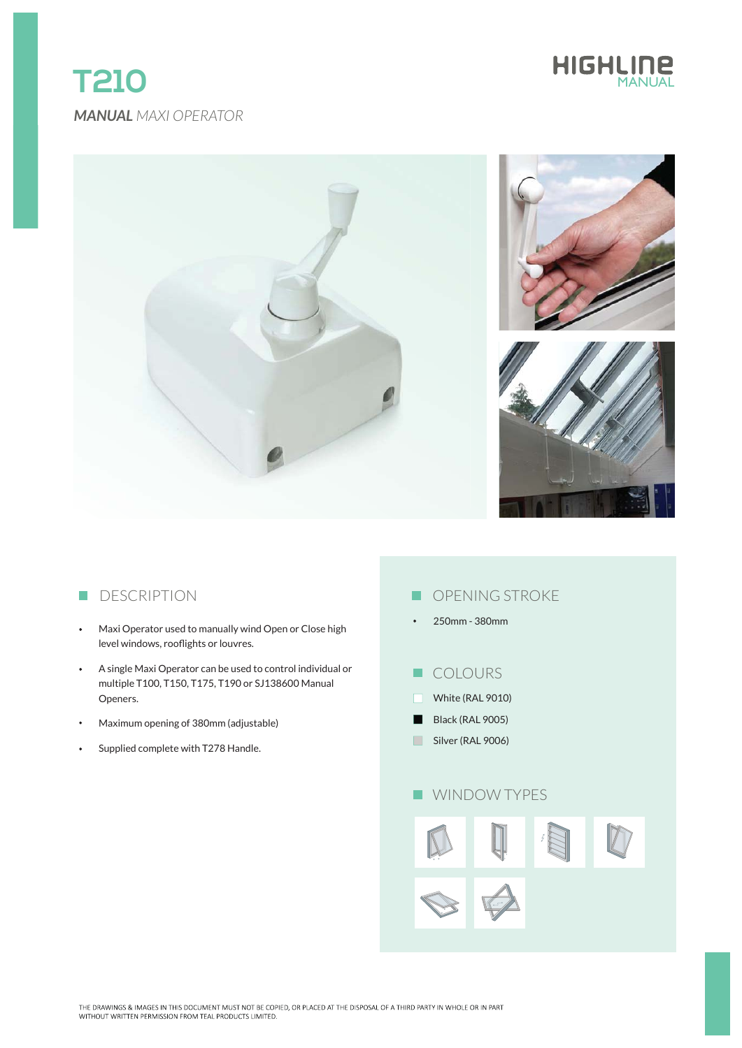# *MANUAL MAXI OPERATOR* **T210**





## **DESCRIPTION**

- Maxi Operator used to manually wind Open or Close high  $\bullet$ level windows, rooflights or louvres.
- A single Maxi Operator can be used to control individual or  $\bullet$ multiple T100, T150, T175, T190 or SJ138600 Manual Openers.
- Maximum opening of 380mm (adjustable)
- Supplied complete with T278 Handle.

## **OPENING STROKE**

- 250mm 380mm
- **COLOURS**
- White (RAL 9010)
- Black (RAL 9005)
- Silver (RAL 9006)

## **WINDOW TYPES**

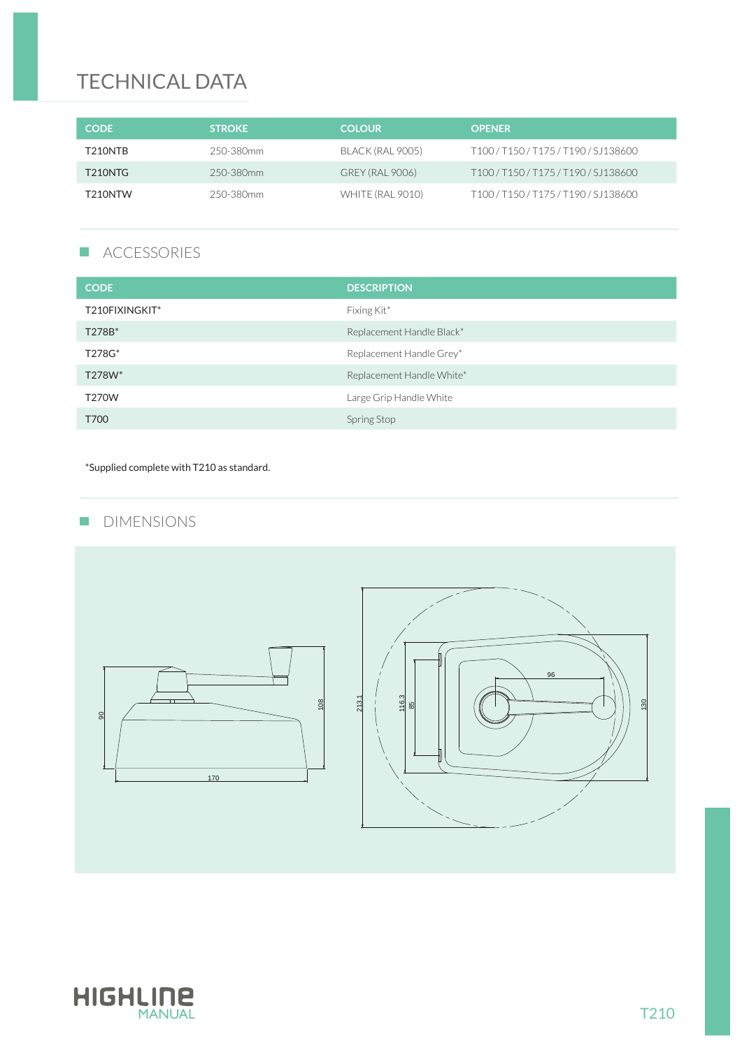# TECHNICAL DATA

| <b>CODE</b>          | <b>STROKE</b> | <b>COLOUR</b>          | <b>OPENER</b>                |
|----------------------|---------------|------------------------|------------------------------|
| T210NTR              | 250-380mm     | BLACK (RAL 9005)       | T100/T150/T175/T190/SJ138600 |
| T <sub>210</sub> NTG | 250-380mm     | <b>GREY (RAL 9006)</b> | T100/T150/T175/T190/SJ138600 |
| T <sub>210</sub> NTW | 250-380mm     | WHITE (RAL 9010)       | T100/T150/T175/T190/SJ138600 |

### $\mathcal{L}_{\mathcal{A}}$ ACCESSORIES

| <b>CODE</b>    | <b>DESCRIPTION</b>        |
|----------------|---------------------------|
| T210FIXINGKIT* | Fixing Kit*               |
| T278B*         | Replacement Handle Black* |
| T278G*         | Replacement Handle Grey*  |
| T278W*         | Replacement Handle White* |
| <b>T270W</b>   | Large Grip Handle White   |
| T700           | Spring Stop               |

\*Supplied complete with T210 as standard.

## **DIMENSIONS**



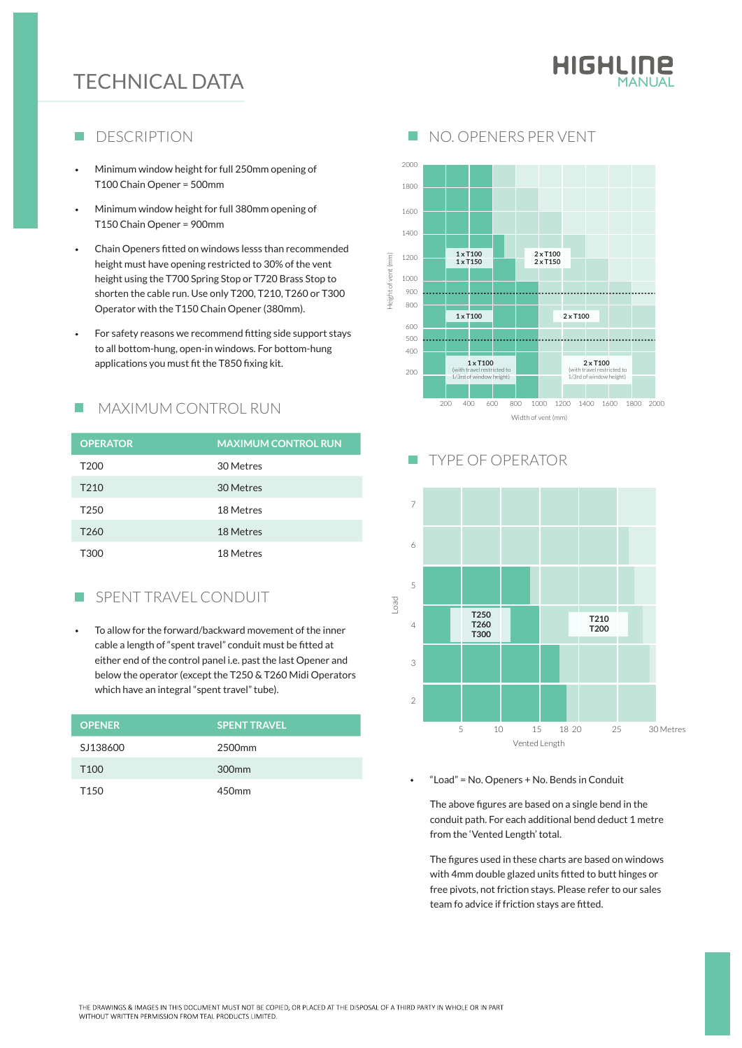# **TECHNICAL DATA**

# HIGHLINE

#### DESCRIPTION ■ NO. OPENERS PER VENT F.

- Minimum window height for full 250mm opening of T100 Chain Opener = 500mm
- Minimum window height for full 380mm opening of T150 Chain Opener = 900mm
- Chain Openers fitted on windows lesss than recommended height must have opening restricted to 30% of the vent height using the T700 Spring Stop or T720 Brass Stop to shorten the cable run. Use only T200, T210, T260 or T300 Operator with the T150 Chain Opener (380mm).
- For safety reasons we recommend fitting side support stays to all bottom-hung, open-in windows. For bottom-hung applications you must fit the T850 fixing kit.

### MAXIMUM CONTROL RUN п

| <b>OPERATOR</b>  | <b>MAXIMUM CONTROL RUN</b> |
|------------------|----------------------------|
| T <sub>200</sub> | 30 Metres                  |
| T <sub>210</sub> | 30 Metres                  |
| T <sub>250</sub> | 18 Metres                  |
| T <sub>260</sub> | 18 Metres                  |
| T300             | 18 Metres                  |

### SPENT TRAVEL CONDUIT  $\overline{\phantom{a}}$

To allow for the forward/backward movement of the inner cable a length of "spent travel" conduit must be fitted at either end of the control panel i.e. past the last Opener and below the operator (except the T250 & T260 Midi Operators which have an integral "spent travel" tube).

| <b>SPENT TRAVEL</b> |
|---------------------|
| 2500 <sub>mm</sub>  |
| 300 <sub>mm</sub>   |
| 450 <sub>mm</sub>   |
|                     |



### TYPE OF OPERATOR  $\Box$



### "Load" = No. Openers + No. Bends in Conduit

The above figures are based on a single bend in the conduit path. For each additional bend deduct 1 metre from the 'Vented Length' total.

The figures used in these charts are based on windows with 4mm double glazed units fitted to butt hinges or free pivots, not friction stays. Please refer to our sales team fo advice if friction stays are fitted.